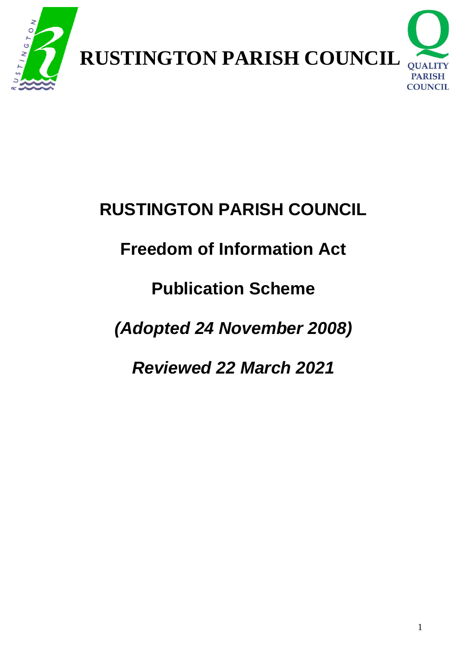

## **Freedom of Information Act**

## **Publication Scheme**

## *(Adopted 24 November 2008)*

## *Reviewed 22 March 2021*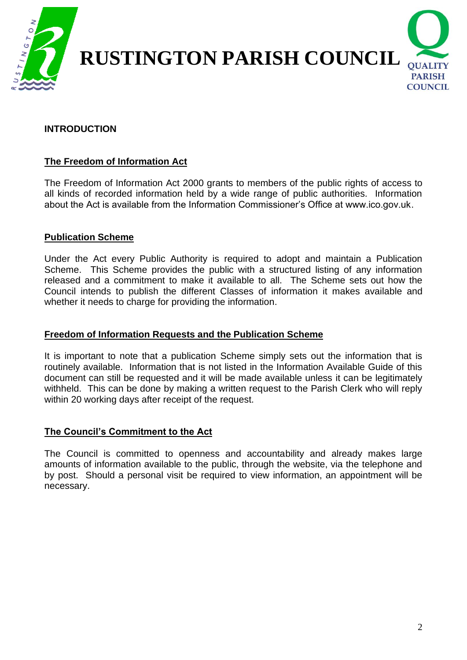

#### **INTRODUCTION**

#### **The Freedom of Information Act**

The Freedom of Information Act 2000 grants to members of the public rights of access to all kinds of recorded information held by a wide range of public authorities. Information about the Act is available from the Information Commissioner's Office at www.ico.gov.uk.

#### **Publication Scheme**

Under the Act every Public Authority is required to adopt and maintain a Publication Scheme. This Scheme provides the public with a structured listing of any information released and a commitment to make it available to all. The Scheme sets out how the Council intends to publish the different Classes of information it makes available and whether it needs to charge for providing the information.

#### **Freedom of Information Requests and the Publication Scheme**

It is important to note that a publication Scheme simply sets out the information that is routinely available. Information that is not listed in the Information Available Guide of this document can still be requested and it will be made available unless it can be legitimately withheld. This can be done by making a written request to the Parish Clerk who will reply within 20 working days after receipt of the request.

#### **The Council's Commitment to the Act**

The Council is committed to openness and accountability and already makes large amounts of information available to the public, through the website, via the telephone and by post. Should a personal visit be required to view information, an appointment will be necessary.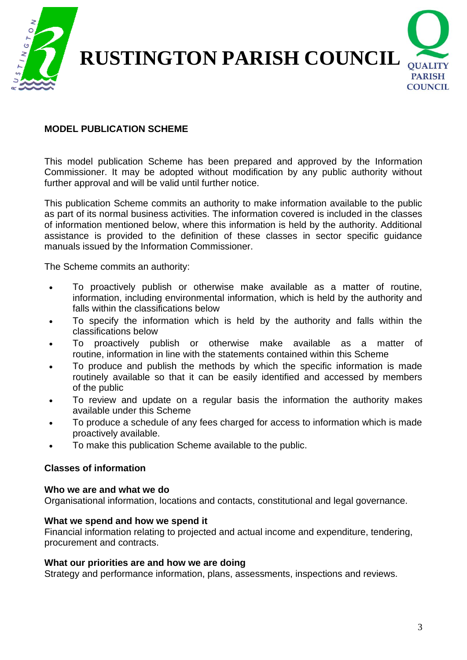

#### **MODEL PUBLICATION SCHEME**

This model publication Scheme has been prepared and approved by the Information Commissioner. It may be adopted without modification by any public authority without further approval and will be valid until further notice.

This publication Scheme commits an authority to make information available to the public as part of its normal business activities. The information covered is included in the classes of information mentioned below, where this information is held by the authority. Additional assistance is provided to the definition of these classes in sector specific guidance manuals issued by the Information Commissioner.

The Scheme commits an authority:

- To proactively publish or otherwise make available as a matter of routine, information, including environmental information, which is held by the authority and falls within the classifications below
- To specify the information which is held by the authority and falls within the classifications below
- To proactively publish or otherwise make available as a matter of routine, information in line with the statements contained within this Scheme
- To produce and publish the methods by which the specific information is made routinely available so that it can be easily identified and accessed by members of the public
- To review and update on a regular basis the information the authority makes available under this Scheme
- To produce a schedule of any fees charged for access to information which is made proactively available.
- To make this publication Scheme available to the public.

#### **Classes of information**

#### **Who we are and what we do**

Organisational information, locations and contacts, constitutional and legal governance.

#### **What we spend and how we spend it**

Financial information relating to projected and actual income and expenditure, tendering, procurement and contracts.

#### **What our priorities are and how we are doing**

Strategy and performance information, plans, assessments, inspections and reviews.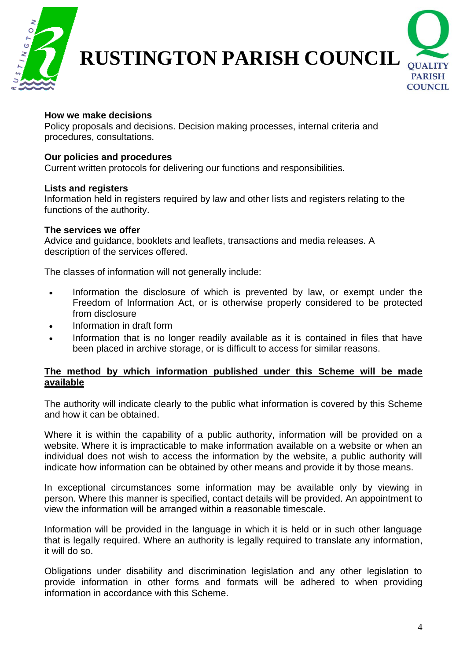



#### **How we make decisions**

Policy proposals and decisions. Decision making processes, internal criteria and procedures, consultations.

#### **Our policies and procedures**

Current written protocols for delivering our functions and responsibilities.

#### **Lists and registers**

Information held in registers required by law and other lists and registers relating to the functions of the authority.

#### **The services we offer**

Advice and guidance, booklets and leaflets, transactions and media releases. A description of the services offered.

The classes of information will not generally include:

- Information the disclosure of which is prevented by law, or exempt under the Freedom of Information Act, or is otherwise properly considered to be protected from disclosure
- Information in draft form
- Information that is no longer readily available as it is contained in files that have been placed in archive storage, or is difficult to access for similar reasons.

#### **The method by which information published under this Scheme will be made available**

The authority will indicate clearly to the public what information is covered by this Scheme and how it can be obtained.

Where it is within the capability of a public authority, information will be provided on a website. Where it is impracticable to make information available on a website or when an individual does not wish to access the information by the website, a public authority will indicate how information can be obtained by other means and provide it by those means.

In exceptional circumstances some information may be available only by viewing in person. Where this manner is specified, contact details will be provided. An appointment to view the information will be arranged within a reasonable timescale.

Information will be provided in the language in which it is held or in such other language that is legally required. Where an authority is legally required to translate any information, it will do so.

Obligations under disability and discrimination legislation and any other legislation to provide information in other forms and formats will be adhered to when providing information in accordance with this Scheme.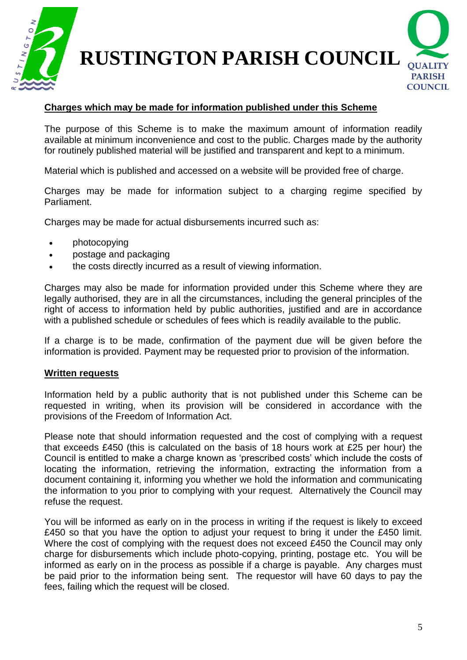



### **Charges which may be made for information published under this Scheme**

The purpose of this Scheme is to make the maximum amount of information readily available at minimum inconvenience and cost to the public. Charges made by the authority for routinely published material will be justified and transparent and kept to a minimum.

Material which is published and accessed on a website will be provided free of charge.

Charges may be made for information subject to a charging regime specified by Parliament.

Charges may be made for actual disbursements incurred such as:

- photocopying
- postage and packaging
- the costs directly incurred as a result of viewing information.

Charges may also be made for information provided under this Scheme where they are legally authorised, they are in all the circumstances, including the general principles of the right of access to information held by public authorities, justified and are in accordance with a published schedule or schedules of fees which is readily available to the public.

If a charge is to be made, confirmation of the payment due will be given before the information is provided. Payment may be requested prior to provision of the information.

#### **Written requests**

Information held by a public authority that is not published under this Scheme can be requested in writing, when its provision will be considered in accordance with the provisions of the Freedom of Information Act.

Please note that should information requested and the cost of complying with a request that exceeds £450 (this is calculated on the basis of 18 hours work at £25 per hour) the Council is entitled to make a charge known as 'prescribed costs' which include the costs of locating the information, retrieving the information, extracting the information from a document containing it, informing you whether we hold the information and communicating the information to you prior to complying with your request. Alternatively the Council may refuse the request.

You will be informed as early on in the process in writing if the request is likely to exceed £450 so that you have the option to adjust your request to bring it under the £450 limit. Where the cost of complying with the request does not exceed £450 the Council may only charge for disbursements which include photo-copying, printing, postage etc. You will be informed as early on in the process as possible if a charge is payable. Any charges must be paid prior to the information being sent. The requestor will have 60 days to pay the fees, failing which the request will be closed.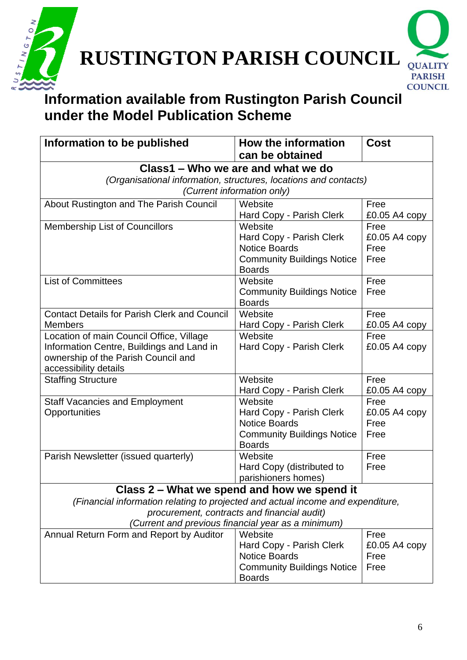



## **Information available from Rustington Parish Council under the Model Publication Scheme**

| Information to be published                                                     | How the information                                | <b>Cost</b>           |  |  |
|---------------------------------------------------------------------------------|----------------------------------------------------|-----------------------|--|--|
|                                                                                 | can be obtained                                    |                       |  |  |
| Class1 – Who we are and what we do                                              |                                                    |                       |  |  |
| (Organisational information, structures, locations and contacts)                |                                                    |                       |  |  |
| (Current information only)                                                      |                                                    |                       |  |  |
| About Rustington and The Parish Council                                         | Website                                            | Free                  |  |  |
|                                                                                 | Hard Copy - Parish Clerk                           | £0.05 A4 copy         |  |  |
| <b>Membership List of Councillors</b>                                           | Website                                            | Free                  |  |  |
|                                                                                 | Hard Copy - Parish Clerk                           | £0.05 A4 copy         |  |  |
|                                                                                 | <b>Notice Boards</b>                               | Free                  |  |  |
|                                                                                 | <b>Community Buildings Notice</b><br><b>Boards</b> | Free                  |  |  |
| <b>List of Committees</b>                                                       | Website                                            | Free                  |  |  |
|                                                                                 | <b>Community Buildings Notice</b>                  | Free                  |  |  |
|                                                                                 | <b>Boards</b>                                      |                       |  |  |
| <b>Contact Details for Parish Clerk and Council</b>                             | Website                                            | Free                  |  |  |
| <b>Members</b>                                                                  | Hard Copy - Parish Clerk                           | £0.05 A4 $copy$       |  |  |
| Location of main Council Office, Village                                        | Website                                            | Free                  |  |  |
| Information Centre, Buildings and Land in                                       | Hard Copy - Parish Clerk                           | £0.05 A4 copy         |  |  |
| ownership of the Parish Council and                                             |                                                    |                       |  |  |
| accessibility details                                                           |                                                    |                       |  |  |
| <b>Staffing Structure</b>                                                       | Website                                            | Free                  |  |  |
|                                                                                 | Hard Copy - Parish Clerk                           | £0.05 A4 $copy$       |  |  |
| <b>Staff Vacancies and Employment</b>                                           | Website                                            | Free                  |  |  |
| Opportunities                                                                   | Hard Copy - Parish Clerk<br><b>Notice Boards</b>   | £0.05 A4 copy<br>Free |  |  |
|                                                                                 | <b>Community Buildings Notice</b>                  | Free                  |  |  |
|                                                                                 | <b>Boards</b>                                      |                       |  |  |
| Parish Newsletter (issued quarterly)                                            | Website                                            | Free                  |  |  |
|                                                                                 | Hard Copy (distributed to                          | Free                  |  |  |
|                                                                                 | parishioners homes)                                |                       |  |  |
| Class 2 - What we spend and how we spend it                                     |                                                    |                       |  |  |
| (Financial information relating to projected and actual income and expenditure, |                                                    |                       |  |  |
| procurement, contracts and financial audit)                                     |                                                    |                       |  |  |
| (Current and previous financial year as a minimum)                              |                                                    |                       |  |  |
| Annual Return Form and Report by Auditor                                        | Website                                            | Free                  |  |  |
|                                                                                 | Hard Copy - Parish Clerk                           | £0.05 A4 $copy$       |  |  |
|                                                                                 | <b>Notice Boards</b>                               | Free                  |  |  |
|                                                                                 | <b>Community Buildings Notice</b>                  | Free                  |  |  |
|                                                                                 | <b>Boards</b>                                      |                       |  |  |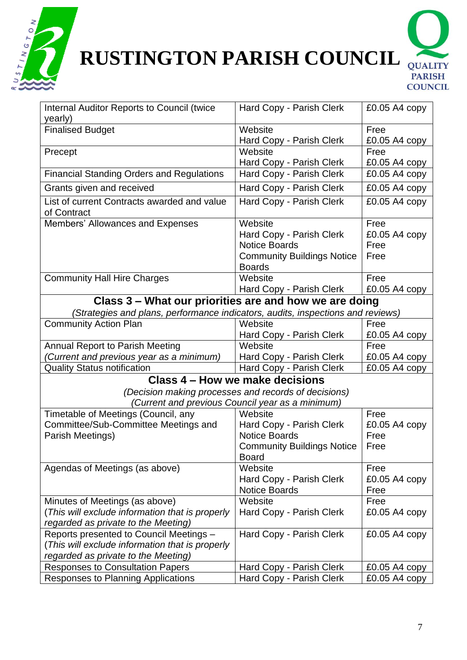

# **RUSTINGTON PARISH COUNCIL** QUALITY



| Internal Auditor Reports to Council (twice                                      | Hard Copy - Parish Clerk<br>$£0.05A4$ copy           |                 |  |  |
|---------------------------------------------------------------------------------|------------------------------------------------------|-----------------|--|--|
| yearly)                                                                         |                                                      |                 |  |  |
| <b>Finalised Budget</b>                                                         | Website                                              | Free            |  |  |
|                                                                                 | Hard Copy - Parish Clerk                             | £0.05 A4 copy   |  |  |
| Precept                                                                         | Website                                              | Free            |  |  |
|                                                                                 | Hard Copy - Parish Clerk                             | £0.05 A4 copy   |  |  |
| <b>Financial Standing Orders and Regulations</b>                                | Hard Copy - Parish Clerk                             | $£0.05A4$ copy  |  |  |
| Grants given and received                                                       | Hard Copy - Parish Clerk                             | £0.05 A4 copy   |  |  |
| List of current Contracts awarded and value<br>of Contract                      | Hard Copy - Parish Clerk                             | £0.05 A4 copy   |  |  |
| Members' Allowances and Expenses                                                | Website                                              | Free            |  |  |
|                                                                                 | Hard Copy - Parish Clerk                             | £0.05 A4 copy   |  |  |
|                                                                                 | <b>Notice Boards</b>                                 | Free            |  |  |
|                                                                                 | <b>Community Buildings Notice</b>                    | Free            |  |  |
|                                                                                 | <b>Boards</b>                                        |                 |  |  |
| <b>Community Hall Hire Charges</b>                                              | Website                                              | Free            |  |  |
|                                                                                 | Hard Copy - Parish Clerk                             | £0.05 A4 copy   |  |  |
| Class 3 – What our priorities are and how we are doing                          |                                                      |                 |  |  |
| (Strategies and plans, performance indicators, audits, inspections and reviews) |                                                      |                 |  |  |
| <b>Community Action Plan</b>                                                    | Website                                              | Free            |  |  |
|                                                                                 | Hard Copy - Parish Clerk                             | £0.05 A4 copy   |  |  |
| <b>Annual Report to Parish Meeting</b>                                          | Website                                              | Free            |  |  |
| (Current and previous year as a minimum)                                        | Hard Copy - Parish Clerk                             | £0.05 A4 copy   |  |  |
| <b>Quality Status notification</b>                                              | Hard Copy - Parish Clerk                             | $£0.05A4$ copy  |  |  |
| Class 4 – How we make decisions                                                 |                                                      |                 |  |  |
|                                                                                 | (Decision making processes and records of decisions) |                 |  |  |
|                                                                                 | (Current and previous Council year as a minimum)     |                 |  |  |
| Timetable of Meetings (Council, any                                             | Website                                              | Free            |  |  |
| Committee/Sub-Committee Meetings and                                            | Hard Copy - Parish Clerk                             | £0.05 A4 copy   |  |  |
| Parish Meetings)                                                                | <b>Notice Boards</b>                                 | Free            |  |  |
|                                                                                 | <b>Community Buildings Notice</b>                    | Free            |  |  |
|                                                                                 | <b>Board</b>                                         |                 |  |  |
| Agendas of Meetings (as above)                                                  | Website                                              | Free            |  |  |
|                                                                                 | Hard Copy - Parish Clerk                             | $£0.05A4$ copy  |  |  |
|                                                                                 | <b>Notice Boards</b>                                 | Free            |  |  |
| Minutes of Meetings (as above)                                                  | Website                                              | Free            |  |  |
| (This will exclude information that is properly                                 | Hard Copy - Parish Clerk                             | $£0.05A4$ copy  |  |  |
| regarded as private to the Meeting)                                             |                                                      |                 |  |  |
| Reports presented to Council Meetings -                                         | Hard Copy - Parish Clerk                             | $£0.05A4$ copy  |  |  |
| (This will exclude information that is properly                                 |                                                      |                 |  |  |
| regarded as private to the Meeting)                                             |                                                      |                 |  |  |
| <b>Responses to Consultation Papers</b>                                         | Hard Copy - Parish Clerk                             | $£0.05A4$ copy  |  |  |
| Responses to Planning Applications                                              | Hard Copy - Parish Clerk                             | £0.05 A4 $copy$ |  |  |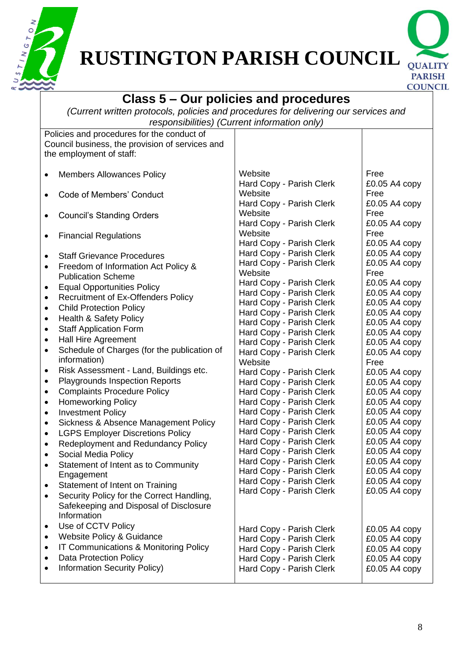



#### **Class 5 – Our policies and procedures** *(Current written protocols, policies and procedures for delivering our services and responsibilities) (Current information only)* Policies and procedures for the conduct of Council business, the provision of services and the employment of staff: • Members Allowances Policy • Code of Members' Conduct • Council's Standing Orders • Financial Regulations • Staff Grievance Procedures • Freedom of Information Act Policy & Publication Scheme • Equal Opportunities Policy • Recruitment of Ex-Offenders Policy • Child Protection Policy • Health & Safety Policy • Staff Application Form • Hall Hire Agreement • Schedule of Charges (for the publication of information) • Risk Assessment - Land, Buildings etc. • Playgrounds Inspection Reports • Complaints Procedure Policy • Homeworking Policy • Investment Policy • Sickness & Absence Management Policy • LGPS Employer Discretions Policy • Redeployment and Redundancy Policy • Social Media Policy • Statement of Intent as to Community Engagement • Statement of Intent on Training • Security Policy for the Correct Handling, Safekeeping and Disposal of Disclosure Information • Use of CCTV Policy • Website Policy & Guidance • IT Communications & Monitoring Policy • Data Protection Policy • Information Security Policy) **Website** Hard Copy - Parish Clerk **Website** Hard Copy - Parish Clerk **Website** Hard Copy - Parish Clerk **Website** Hard Copy - Parish Clerk Hard Copy - Parish Clerk Hard Copy - Parish Clerk **Website** Hard Copy - Parish Clerk Hard Copy - Parish Clerk Hard Copy - Parish Clerk Hard Copy - Parish Clerk Hard Copy - Parish Clerk Hard Copy - Parish Clerk Hard Copy - Parish Clerk Hard Copy - Parish Clerk **Website** Hard Copy - Parish Clerk Hard Copy - Parish Clerk Hard Copy - Parish Clerk Hard Copy - Parish Clerk Hard Copy - Parish Clerk Hard Copy - Parish Clerk Hard Copy - Parish Clerk Hard Copy - Parish Clerk Hard Copy - Parish Clerk Hard Copy - Parish Clerk Hard Copy - Parish Clerk Hard Copy - Parish Clerk Hard Copy - Parish Clerk Hard Copy - Parish Clerk Hard Copy - Parish Clerk Hard Copy - Parish Clerk Hard Copy - Parish Clerk Hard Copy - Parish Clerk Free £0.05 A4 copy Free £0.05 A4 copy Free £0.05 A4 copy Free £0.05 A4 copy £0.05 A4 copy £0.05 A4 copy Free £0.05 A4 copy £0.05 A4 copy £0.05 A4 copy £0.05 A4 copy £0.05 A4 copy £0.05 A4 copy £0.05 A4 copy £0.05 A4 copy Free £0.05 A4 copy £0.05 A4 copy £0.05 A4 copy £0.05 A4 copy £0.05 A4 copy £0.05 A4 copy £0.05 A4 copy £0.05 A4 copy £0.05 A4 copy £0.05 A4 copy £0.05 A4 copy £0.05 A4 copy £0.05 A4 copy £0.05 A4 copy £0.05 A4 copy £0.05 A4 copy £0.05 A4 copy £0.05 A4 copy